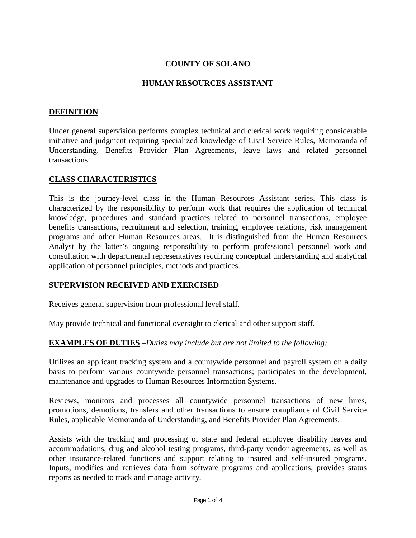# **COUNTY OF SOLANO**

## **HUMAN RESOURCES ASSISTANT**

### **DEFINITION**

Under general supervision performs complex technical and clerical work requiring considerable initiative and judgment requiring specialized knowledge of Civil Service Rules, Memoranda of Understanding, Benefits Provider Plan Agreements, leave laws and related personnel transactions.

### **CLASS CHARACTERISTICS**

This is the journey-level class in the Human Resources Assistant series. This class is characterized by the responsibility to perform work that requires the application of technical knowledge, procedures and standard practices related to personnel transactions, employee benefits transactions, recruitment and selection, training, employee relations, risk management programs and other Human Resources areas. It is distinguished from the Human Resources Analyst by the latter's ongoing responsibility to perform professional personnel work and consultation with departmental representatives requiring conceptual understanding and analytical application of personnel principles, methods and practices.

### **SUPERVISION RECEIVED AND EXERCISED**

Receives general supervision from professional level staff.

May provide technical and functional oversight to clerical and other support staff.

# **EXAMPLES OF DUTIES** *–Duties may include but are not limited to the following:*

Utilizes an applicant tracking system and a countywide personnel and payroll system on a daily basis to perform various countywide personnel transactions; participates in the development, maintenance and upgrades to Human Resources Information Systems.

Reviews, monitors and processes all countywide personnel transactions of new hires, promotions, demotions, transfers and other transactions to ensure compliance of Civil Service Rules, applicable Memoranda of Understanding, and Benefits Provider Plan Agreements.

Assists with the tracking and processing of state and federal employee disability leaves and accommodations, drug and alcohol testing programs, third-party vendor agreements, as well as other insurance-related functions and support relating to insured and self-insured programs. Inputs, modifies and retrieves data from software programs and applications, provides status reports as needed to track and manage activity.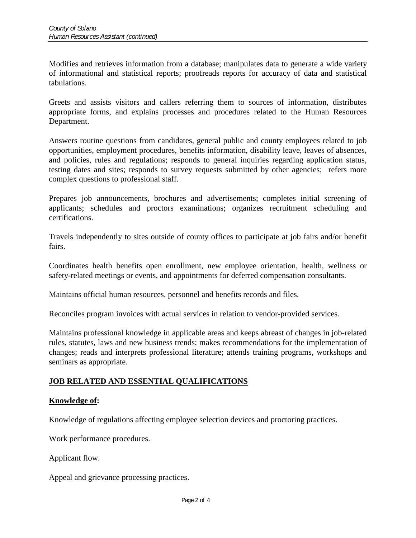Modifies and retrieves information from a database; manipulates data to generate a wide variety of informational and statistical reports; proofreads reports for accuracy of data and statistical tabulations.

Greets and assists visitors and callers referring them to sources of information, distributes appropriate forms, and explains processes and procedures related to the Human Resources Department.

Answers routine questions from candidates, general public and county employees related to job opportunities, employment procedures, benefits information, disability leave, leaves of absences, and policies, rules and regulations; responds to general inquiries regarding application status, testing dates and sites; responds to survey requests submitted by other agencies; refers more complex questions to professional staff.

Prepares job announcements, brochures and advertisements; completes initial screening of applicants; schedules and proctors examinations; organizes recruitment scheduling and certifications.

Travels independently to sites outside of county offices to participate at job fairs and/or benefit fairs.

Coordinates health benefits open enrollment, new employee orientation, health, wellness or safety-related meetings or events, and appointments for deferred compensation consultants.

Maintains official human resources, personnel and benefits records and files.

Reconciles program invoices with actual services in relation to vendor-provided services.

Maintains professional knowledge in applicable areas and keeps abreast of changes in job-related rules, statutes, laws and new business trends; makes recommendations for the implementation of changes; reads and interprets professional literature; attends training programs, workshops and seminars as appropriate.

# **JOB RELATED AND ESSENTIAL QUALIFICATIONS**

# **Knowledge of:**

Knowledge of regulations affecting employee selection devices and proctoring practices.

Work performance procedures.

Applicant flow.

Appeal and grievance processing practices.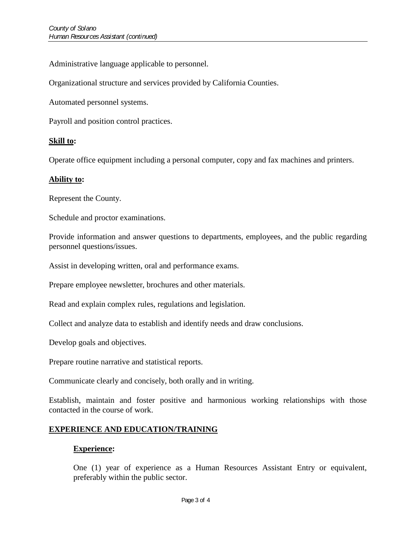Administrative language applicable to personnel.

Organizational structure and services provided by California Counties.

Automated personnel systems.

Payroll and position control practices.

### **Skill to:**

Operate office equipment including a personal computer, copy and fax machines and printers.

### **Ability to:**

Represent the County.

Schedule and proctor examinations.

Provide information and answer questions to departments, employees, and the public regarding personnel questions/issues.

Assist in developing written, oral and performance exams.

Prepare employee newsletter, brochures and other materials.

Read and explain complex rules, regulations and legislation.

Collect and analyze data to establish and identify needs and draw conclusions.

Develop goals and objectives.

Prepare routine narrative and statistical reports.

Communicate clearly and concisely, both orally and in writing.

Establish, maintain and foster positive and harmonious working relationships with those contacted in the course of work.

### **EXPERIENCE AND EDUCATION/TRAINING**

#### **Experience:**

One (1) year of experience as a Human Resources Assistant Entry or equivalent, preferably within the public sector.